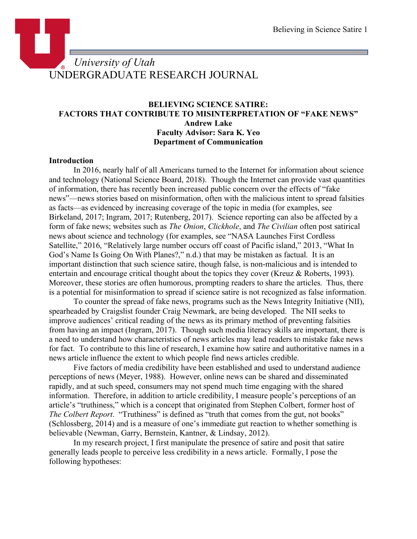# *University of Utah* UNDERGRADUATE RESEARCH JOURNAL

# **BELIEVING SCIENCE SATIRE: FACTORS THAT CONTRIBUTE TO MISINTERPRETATION OF "FAKE NEWS" Andrew Lake Faculty Advisor: Sara K. Yeo Department of Communication**

#### **Introduction**

In 2016, nearly half of all Americans turned to the Internet for information about science and technology (National Science Board, 2018). Though the Internet can provide vast quantities of information, there has recently been increased public concern over the effects of "fake news"—news stories based on misinformation, often with the malicious intent to spread falsities as facts—as evidenced by increasing coverage of the topic in media (for examples, see Birkeland, 2017; Ingram, 2017; Rutenberg, 2017). Science reporting can also be affected by a form of fake news; websites such as *The Onion*, *Clickhole*, and *The Civilian* often post satirical news about science and technology (for examples, see "NASA Launches First Cordless Satellite," 2016, "Relatively large number occurs off coast of Pacific island," 2013, "What In God's Name Is Going On With Planes?," n.d.) that may be mistaken as factual. It is an important distinction that such science satire, though false, is non-malicious and is intended to entertain and encourage critical thought about the topics they cover (Kreuz & Roberts, 1993). Moreover, these stories are often humorous, prompting readers to share the articles. Thus, there is a potential for misinformation to spread if science satire is not recognized as false information.

To counter the spread of fake news, programs such as the News Integrity Initiative (NII), spearheaded by Craigslist founder Craig Newmark, are being developed. The NII seeks to improve audiences' critical reading of the news as its primary method of preventing falsities from having an impact (Ingram, 2017). Though such media literacy skills are important, there is a need to understand how characteristics of news articles may lead readers to mistake fake news for fact. To contribute to this line of research, I examine how satire and authoritative names in a news article influence the extent to which people find news articles credible.

Five factors of media credibility have been established and used to understand audience perceptions of news (Meyer, 1988). However, online news can be shared and disseminated rapidly, and at such speed, consumers may not spend much time engaging with the shared information. Therefore, in addition to article credibility, I measure people's perceptions of an article's "truthiness," which is a concept that originated from Stephen Colbert, former host of *The Colbert Report.* "Truthiness" is defined as "truth that comes from the gut, not books" (Schlossberg, 2014) and is a measure of one's immediate gut reaction to whether something is believable (Newman, Garry, Bernstein, Kantner, & Lindsay, 2012).

In my research project, I first manipulate the presence of satire and posit that satire generally leads people to perceive less credibility in a news article. Formally, I pose the following hypotheses: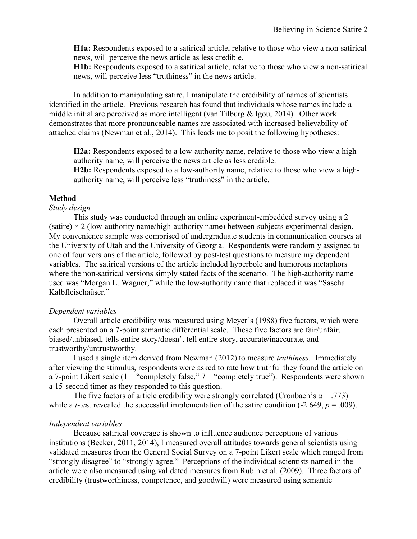**H1a:** Respondents exposed to a satirical article, relative to those who view a non-satirical news, will perceive the news article as less credible.

**H1b:** Respondents exposed to a satirical article, relative to those who view a non-satirical news, will perceive less "truthiness" in the news article.

In addition to manipulating satire, I manipulate the credibility of names of scientists identified in the article. Previous research has found that individuals whose names include a middle initial are perceived as more intelligent (van Tilburg & Igou, 2014). Other work demonstrates that more pronounceable names are associated with increased believability of attached claims (Newman et al., 2014). This leads me to posit the following hypotheses:

**H2a:** Respondents exposed to a low-authority name, relative to those who view a highauthority name, will perceive the news article as less credible.

**H2b:** Respondents exposed to a low-authority name, relative to those who view a highauthority name, will perceive less "truthiness" in the article.

#### **Method**

#### *Study design*

This study was conducted through an online experiment-embedded survey using a 2 (satire)  $\times$  2 (low-authority name/high-authority name) between-subjects experimental design. My convenience sample was comprised of undergraduate students in communication courses at the University of Utah and the University of Georgia. Respondents were randomly assigned to one of four versions of the article, followed by post-test questions to measure my dependent variables. The satirical versions of the article included hyperbole and humorous metaphors where the non-satirical versions simply stated facts of the scenario. The high-authority name used was "Morgan L. Wagner," while the low-authority name that replaced it was "Sascha Kalbfleischaüser."

#### *Dependent variables*

Overall article credibility was measured using Meyer's (1988) five factors, which were each presented on a 7-point semantic differential scale. These five factors are fair/unfair, biased/unbiased, tells entire story/doesn't tell entire story, accurate/inaccurate, and trustworthy/untrustworthy.

I used a single item derived from Newman (2012) to measure *truthiness*. Immediately after viewing the stimulus, respondents were asked to rate how truthful they found the article on a 7-point Likert scale (1 = "completely false,"  $7 =$  "completely true"). Respondents were shown a 15-second timer as they responded to this question.

The five factors of article credibility were strongly correlated (Cronbach's  $\alpha$  = .773) while a *t*-test revealed the successful implementation of the satire condition  $(-2.649, p = .009)$ .

#### *Independent variables*

Because satirical coverage is shown to influence audience perceptions of various institutions (Becker, 2011, 2014), I measured overall attitudes towards general scientists using validated measures from the General Social Survey on a 7-point Likert scale which ranged from "strongly disagree" to "strongly agree." Perceptions of the individual scientists named in the article were also measured using validated measures from Rubin et al. (2009). Three factors of credibility (trustworthiness, competence, and goodwill) were measured using semantic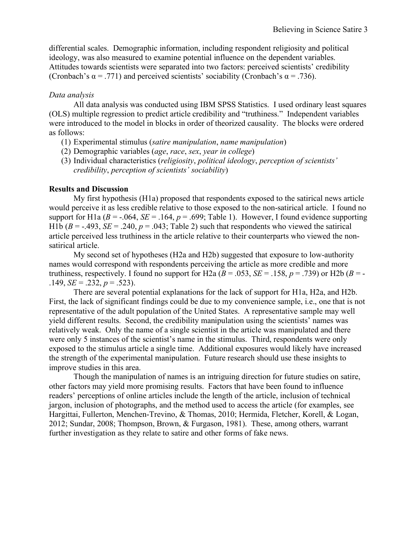differential scales. Demographic information, including respondent religiosity and political ideology, was also measured to examine potential influence on the dependent variables. Attitudes towards scientists were separated into two factors: perceived scientists' credibility (Cronbach's  $\alpha$  = .771) and perceived scientists' sociability (Cronbach's  $\alpha$  = .736).

### *Data analysis*

All data analysis was conducted using IBM SPSS Statistics. I used ordinary least squares (OLS) multiple regression to predict article credibility and "truthiness." Independent variables were introduced to the model in blocks in order of theorized causality. The blocks were ordered as follows:

- (1) Experimental stimulus (*satire manipulation*, *name manipulation*)
- (2) Demographic variables (*age*, *race*, *sex*, *year in college*)
- (3) Individual characteristics (*religiosity*, *political ideology*, *perception of scientists' credibility*, *perception of scientists' sociability*)

#### **Results and Discussion**

My first hypothesis (H1a) proposed that respondents exposed to the satirical news article would perceive it as less credible relative to those exposed to the non-satirical article. I found no support for H1a ( $B = -0.064$ ,  $SE = 0.164$ ,  $p = 0.699$ ; Table 1). However, I found evidence supporting H1b ( $B = -0.493$ ,  $SE = 0.240$ ,  $p = 0.043$ ; Table 2) such that respondents who viewed the satirical article perceived less truthiness in the article relative to their counterparts who viewed the nonsatirical article.

My second set of hypotheses (H2a and H2b) suggested that exposure to low-authority names would correspond with respondents perceiving the article as more credible and more truthiness, respectively. I found no support for H2a ( $B = .053$ ,  $SE = .158$ ,  $p = .739$ ) or H2b ( $B = -$ .149, *SE* = .232, *p* = .523).

There are several potential explanations for the lack of support for H1a, H2a, and H2b. First, the lack of significant findings could be due to my convenience sample, i.e., one that is not representative of the adult population of the United States. A representative sample may well yield different results. Second, the credibility manipulation using the scientists' names was relatively weak. Only the name of a single scientist in the article was manipulated and there were only 5 instances of the scientist's name in the stimulus. Third, respondents were only exposed to the stimulus article a single time. Additional exposures would likely have increased the strength of the experimental manipulation. Future research should use these insights to improve studies in this area.

Though the manipulation of names is an intriguing direction for future studies on satire, other factors may yield more promising results. Factors that have been found to influence readers' perceptions of online articles include the length of the article, inclusion of technical jargon, inclusion of photographs, and the method used to access the article (for examples, see Hargittai, Fullerton, Menchen-Trevino, & Thomas, 2010; Hermida, Fletcher, Korell, & Logan, 2012; Sundar, 2008; Thompson, Brown, & Furgason, 1981). These, among others, warrant further investigation as they relate to satire and other forms of fake news.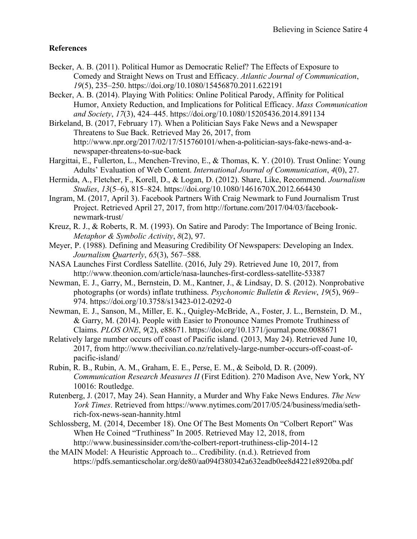## **References**

- Becker, A. B. (2011). Political Humor as Democratic Relief? The Effects of Exposure to Comedy and Straight News on Trust and Efficacy. *Atlantic Journal of Communication*, *19*(5), 235–250. https://doi.org/10.1080/15456870.2011.622191
- Becker, A. B. (2014). Playing With Politics: Online Political Parody, Affinity for Political Humor, Anxiety Reduction, and Implications for Political Efficacy. *Mass Communication and Society*, *17*(3), 424–445. https://doi.org/10.1080/15205436.2014.891134
- Birkeland, B. (2017, February 17). When a Politician Says Fake News and a Newspaper Threatens to Sue Back. Retrieved May 26, 2017, from http://www.npr.org/2017/02/17/515760101/when-a-politician-says-fake-news-and-anewspaper-threatens-to-sue-back
- Hargittai, E., Fullerton, L., Menchen-Trevino, E., & Thomas, K. Y. (2010). Trust Online: Young Adults' Evaluation of Web Content. *International Journal of Communication*, *4*(0), 27.
- Hermida, A., Fletcher, F., Korell, D., & Logan, D. (2012). Share, Like, Recommend. *Journalism Studies*, *13*(5–6), 815–824. https://doi.org/10.1080/1461670X.2012.664430
- Ingram, M. (2017, April 3). Facebook Partners With Craig Newmark to Fund Journalism Trust Project. Retrieved April 27, 2017, from http://fortune.com/2017/04/03/facebooknewmark-trust/
- Kreuz, R. J., & Roberts, R. M. (1993). On Satire and Parody: The Importance of Being Ironic. *Metaphor & Symbolic Activity*, *8*(2), 97.
- Meyer, P. (1988). Defining and Measuring Credibility Of Newspapers: Developing an Index. *Journalism Quarterly*, *65*(3), 567–588.
- NASA Launches First Cordless Satellite. (2016, July 29). Retrieved June 10, 2017, from http://www.theonion.com/article/nasa-launches-first-cordless-satellite-53387
- Newman, E. J., Garry, M., Bernstein, D. M., Kantner, J., & Lindsay, D. S. (2012). Nonprobative photographs (or words) inflate truthiness. *Psychonomic Bulletin & Review*, *19*(5), 969– 974. https://doi.org/10.3758/s13423-012-0292-0
- Newman, E. J., Sanson, M., Miller, E. K., Quigley-McBride, A., Foster, J. L., Bernstein, D. M., & Garry, M. (2014). People with Easier to Pronounce Names Promote Truthiness of Claims. *PLOS ONE*, *9*(2), e88671. https://doi.org/10.1371/journal.pone.0088671
- Relatively large number occurs off coast of Pacific island. (2013, May 24). Retrieved June 10, 2017, from http://www.thecivilian.co.nz/relatively-large-number-occurs-off-coast-ofpacific-island/
- Rubin, R. B., Rubin, A. M., Graham, E. E., Perse, E. M., & Seibold, D. R. (2009). *Communication Research Measures II* (First Edition). 270 Madison Ave, New York, NY 10016: Routledge.
- Rutenberg, J. (2017, May 24). Sean Hannity, a Murder and Why Fake News Endures. *The New York Times*. Retrieved from https://www.nytimes.com/2017/05/24/business/media/sethrich-fox-news-sean-hannity.html
- Schlossberg, M. (2014, December 18). One Of The Best Moments On "Colbert Report" Was When He Coined "Truthiness" In 2005. Retrieved May 12, 2018, from http://www.businessinsider.com/the-colbert-report-truthiness-clip-2014-12
- the MAIN Model: A Heuristic Approach to... Credibility. (n.d.). Retrieved from https://pdfs.semanticscholar.org/de80/aa094f380342a632eadb0ee8d4221e8920ba.pdf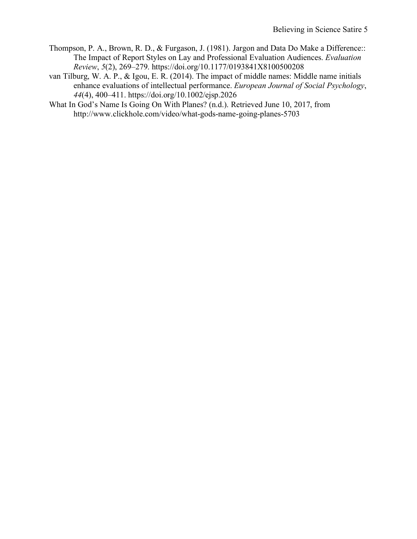- Thompson, P. A., Brown, R. D., & Furgason, J. (1981). Jargon and Data Do Make a Difference:: The Impact of Report Styles on Lay and Professional Evaluation Audiences. *Evaluation Review*, *5*(2), 269–279. https://doi.org/10.1177/0193841X8100500208
- van Tilburg, W. A. P., & Igou, E. R. (2014). The impact of middle names: Middle name initials enhance evaluations of intellectual performance. *European Journal of Social Psychology*, *44*(4), 400–411. https://doi.org/10.1002/ejsp.2026
- What In God's Name Is Going On With Planes? (n.d.). Retrieved June 10, 2017, from http://www.clickhole.com/video/what-gods-name-going-planes-5703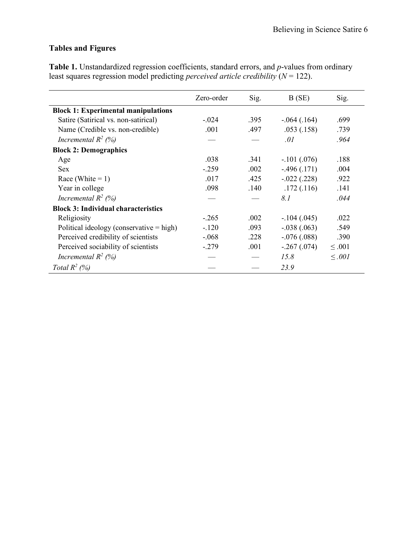# **Tables and Figures**

**Table 1.** Unstandardized regression coefficients, standard errors, and *p*-values from ordinary least squares regression model predicting *perceived article credibility* (*N* = 122).

|                                            | Zero-order | Sig. | B(SE)         | Sig.        |
|--------------------------------------------|------------|------|---------------|-------------|
| <b>Block 1: Experimental manipulations</b> |            |      |               |             |
| Satire (Satirical vs. non-satirical)       | $-.024$    | .395 | $-.064(.164)$ | .699        |
| Name (Credible vs. non-credible)           | .001       | .497 | .053(.158)    | .739        |
| Incremental $R^2$ (%)                      |            |      | .01           | .964        |
| <b>Block 2: Demographics</b>               |            |      |               |             |
| Age                                        | .038       | .341 | $-.101(.076)$ | .188        |
| <b>Sex</b>                                 | $-.259$    | .002 | $-496(0.171)$ | .004        |
| Race (White $= 1$ )                        | .017       | .425 | $-.022(.228)$ | .922        |
| Year in college                            | .098       | .140 | .172(.116)    | .141        |
| Incremental $R^2$ (%)                      |            |      | 8.1           | .044        |
| <b>Block 3: Individual characteristics</b> |            |      |               |             |
| Religiosity                                | $-.265$    | .002 | $-.104(.045)$ | .022        |
| Political ideology (conservative = high)   | $-.120$    | .093 | $-.038(.063)$ | .549        |
| Perceived credibility of scientists        | $-.068$    | .228 | $-.076(.088)$ | .390        |
| Perceived sociability of scientists        | $-.279$    | .001 | $-.267(.074)$ | $\leq .001$ |
| Incremental $R^2$ (%)                      |            |      | 15.8          | $\leq .001$ |
| Total $R^2$ (%)                            |            |      | 23.9          |             |